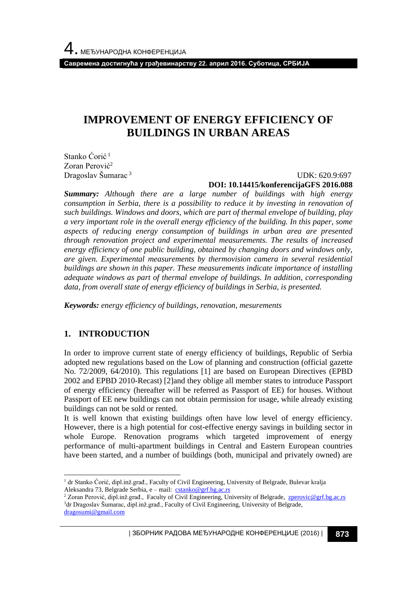**Савремена достигнућа у грађевинарству 22. април 2016. Суботица, СРБИЈА**

# **IMPROVEMENT OF ENERGY EFFICIENCY OF BUILDINGS IN URBAN AREAS**

Stanko Ćorić<sup>1</sup> Zoran Perović<sup>2</sup> Dragoslav Šumarac <sup>3</sup>

 UDK: 620.9:697 **DOI: 10.14415/konferencijaGFS 2016.088**

*Summary: Although there are a large number of buildings with high energy consumption in Serbia, there is a possibility to reduce it by investing in renovation of such buildings. Windows and doors, which are part of thermal envelope of building, play a very important role in the overall energy efficiency of the building. In this paper, some aspects of reducing energy consumption of buildings in urban area are presented through renovation project and experimental measurements. The results of increased energy efficiency of one public building, obtained by changing doors and windows only, are given. Experimental measurements by thermovision camera in several residential buildings are shown in this paper. These measurements indicate importance of installing adequate windows as part of thermal envelope of buildings. In addition, corresponding data, from overall state of energy efficiency of buildings in Serbia, is presented.*

*Keywords: energy efficiency of buildings, renovation, mesurements*

### **1. INTRODUCTION**

In order to improve current state of energy efficiency of buildings, Republic of Serbia adopted new regulations based on the Low of planning and construction (official gazette No. 72/2009, 64/2010). This regulations [1] are based on European Directives (EPBD 2002 and EPBD 2010-Recast) [2]and they oblige all member states to introduce Passport of energy efficiency (hereafter will be referred as Passport of EE) for houses. Without Passport of EE new buildings can not obtain permission for usage, while already existing buildings can not be sold or rented.

It is well known that existing buildings often have low level of energy efficiency. However, there is a high potential for cost-effective energy savings in building sector in whole Europe. Renovation programs which targeted improvement of energy performance of multi-apartment buildings in Central and Eastern European countries have been started, and a number of buildings (both, municipal and privately owned) are

l <sup>1</sup> dr Stanko Ćorić, dipl.inž.građ., Faculty of Civil Engineering, University of Belgrade, Bulevar kralja Aleksandra 73, Belgrade Serbia, e - mail: [cstanko@grf.bg.ac.rs](mailto:cstanko@grf.bg.ac.rs)

<sup>&</sup>lt;sup>2</sup> Zoran Perović, dipl.inž.građ., Faculty of Civil Engineering, University of Belgrade, [zperovic@grf.bg.ac.rs](mailto:zperovic@grf.bg.ac.rs) <sup>3</sup> dr Dragoslav Šumarac, dipl.inž.građ., Faculty of Civil Engineering, University of Belgrade, [dragosumi@gmail.com](mailto:dragosumi@gmail.com)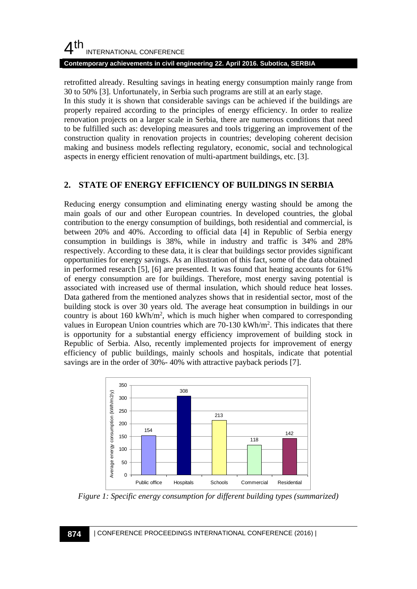# $4<sup>th</sup>$ INTERNATIONAL CONFERENCE

#### **Contemporary achievements in civil engineering 22. April 2016. Subotica, SERBIA**

retrofitted already. Resulting savings in heating energy consumption mainly range from 30 to 50% [3]. Unfortunately, in Serbia such programs are still at an early stage.

In this study it is shown that considerable savings can be achieved if the buildings are properly repaired according to the principles of energy efficiency. In order to realize renovation projects on a larger scale in Serbia, there are numerous conditions that need to be fulfilled such as: developing measures and tools triggering an improvement of the construction quality in renovation projects in countries; developing coherent decision making and business models reflecting regulatory, economic, social and technological aspects in energy efficient renovation of multi-apartment buildings, etc. [3].

### **2. STATE OF ENERGY EFFICIENCY OF BUILDINGS IN SERBIA**

Reducing energy consumption and eliminating energy wasting should be among the main goals of our and other European countries. In developed countries, the global contribution to the energy consumption of buildings, both residential and commercial, is between 20% and 40%. According to official data [4] in Republic of Serbia energy consumption in buildings is 38%, while in industry and traffic is 34% and 28% respectively. According to these data, it is clear that buildings sector provides significant opportunities for energy savings. As an illustration of this fact, some of the data obtained in performed research [5], [6] are presented. It was found that heating accounts for 61% of energy consumption are for buildings. Therefore, most energy saving potential is associated with increased use of thermal insulation, which should reduce heat losses. Data gathered from the mentioned analyzes shows that in residential sector, most of the building stock is over 30 years old. The average heat consumption in buildings in our country is about  $160 \text{ kWh/m}^2$ , which is much higher when compared to corresponding values in European Union countries which are 70-130 kWh/m<sup>2</sup>. This indicates that there is opportunity for a substantial energy efficiency improvement of building stock in Republic of Serbia. Also, recently implemented projects for improvement of energy efficiency of public buildings, mainly schools and hospitals, indicate that potential savings are in the order of 30%- 40% with attractive payback periods [7].



*Figure 1: Specific energy consumption for different building types (summarized)*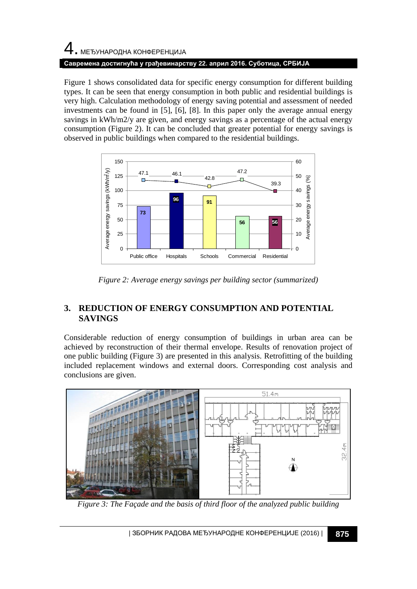# 4. МЕЂУНАРОДНА КОНФЕРЕНЦИЈА **Савремена достигнућа у грађевинарству 22. април 2016. Суботица, СРБИЈА**

Figure 1 shows consolidated data for specific energy consumption for different building types. It can be seen that energy consumption in both public and residential buildings is very high. Calculation methodology of energy saving potential and assessment of needed investments can be found in [5], [6], [8]. In this paper only the average annual energy savings in kWh/m2/y are given, and energy savings as a percentage of the actual energy consumption (Figure 2). It can be concluded that greater potential for energy savings is observed in public buildings when compared to the residential buildings.



*Figure 2: Average energy savings per building sector (summarized)*

# **3. REDUCTION OF ENERGY CONSUMPTION AND POTENTIAL SAVINGS**

Considerable reduction of energy consumption of buildings in urban area can be achieved by reconstruction of their thermal envelope. Results of renovation project of one public building (Figure 3) are presented in this analysis. Retrofitting of the building included replacement windows and external doors. Corresponding cost analysis and conclusions are given.



*Figure 3: The Façade and the basis of third floor of the analyzed public building*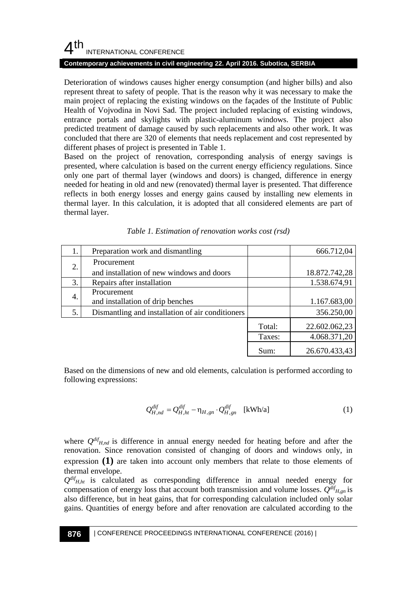## $4<sup>th</sup>$ INTERNATIONAL CONFERENCE

#### **Contemporary achievements in civil engineering 22. April 2016. Subotica, SERBIA**

Deterioration of windows causes higher energy consumption (and higher bills) and also represent threat to safety of people. That is the reason why it was necessary to make the main project of replacing the existing windows on the façades of the Institute of Public Health of Vojvodina in Novi Sad. The project included replacing of existing windows, entrance portals and skylights with plastic-aluminum windows. The project also predicted treatment of damage caused by such replacements and also other work. It was concluded that there are 320 of elements that needs replacement and cost represented by different phases of project is presented in Table 1.

Based on the project of renovation, corresponding analysis of energy savings is presented, where calculation is based on the current energy efficiency regulations. Since only one part of thermal layer (windows and doors) is changed, difference in energy needed for heating in old and new (renovated) thermal layer is presented. That difference reflects in both energy losses and energy gains caused by installing new elements in thermal layer. In this calculation, it is adopted that all considered elements are part of thermal layer.

| 1. | Preparation work and dismantling                 |        | 666.712,04    |  |  |
|----|--------------------------------------------------|--------|---------------|--|--|
| 2. | Procurement                                      |        |               |  |  |
|    | and installation of new windows and doors        |        | 18.872.742,28 |  |  |
| 3. | Repairs after installation                       |        | 1.538.674,91  |  |  |
| 4. | Procurement                                      |        |               |  |  |
|    | and installation of drip benches                 |        | 1.167.683,00  |  |  |
| 5. | Dismantling and installation of air conditioners |        | 356.250,00    |  |  |
|    |                                                  | Total: | 22.602.062,23 |  |  |
|    |                                                  | Taxes: | 4.068.371,20  |  |  |
|    |                                                  | Sum:   | 26.670.433,43 |  |  |

|  |  |  |  | Table 1. Estimation of renovation works cost (rsd) |  |  |  |
|--|--|--|--|----------------------------------------------------|--|--|--|
|--|--|--|--|----------------------------------------------------|--|--|--|

Based on the dimensions of new and old elements, calculation is performed according to following expressions:

$$
Q_{H,nd}^{dif} = Q_{H,ht}^{dif} - \eta_{H,gn} \cdot Q_{H,gn}^{dif} \quad \text{[kWh/a]} \tag{1}
$$

where  $Q^{dif}$ <sub>*H,nd*</sub> is difference in annual energy needed for heating before and after the renovation. Since renovation consisted of changing of doors and windows only, in expression **(1)** are taken into account only members that relate to those elements of thermal envelope.

 $Q^{dif}$ <sub>*H,ht*</sub> is calculated as corresponding difference in annual needed energy for compensation of energy loss that account both transmission and volume losses.  $Q^{df}$ <sub>*H,gn*</sub> is also difference, but in heat gains, that for corresponding calculation included only solar gains. Quantities of energy before and after renovation are calculated according to the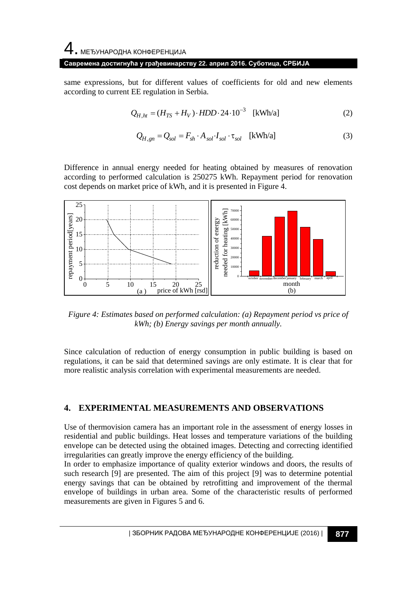#### 4. МЕЂУНАРОДНА КОНФЕРЕНЦИЈА

#### **Савремена достигнућа у грађевинарству 22. април 2016. Суботица, СРБИЈА**

same expressions, but for different values of coefficients for old and new elements according to current EE regulation in Serbia.

$$
Q_{H,ht} = (H_{TS} + H_V) \cdot HDD \cdot 24 \cdot 10^{-3}
$$
 [kWh/a] (2)

$$
Q_{H,gn} = Q_{sol} = F_{sh} \cdot A_{sol} \cdot I_{sol} \cdot \tau_{sol} \quad \text{[kWh/a]} \tag{3}
$$

Difference in annual energy needed for heating obtained by measures of renovation according to performed calculation is 250275 kWh. Repayment period for renovation cost depends on market price of kWh, and it is presented in Figure 4.



*Figure 4: Estimates based on performed calculation: (a) Repayment period vs price of kWh; (b) Energy savings per month annually.*

Since calculation of reduction of energy consumption in public building is based on regulations, it can be said that determined savings are only estimate. It is clear that for more realistic analysis correlation with experimental measurements are needed.

### **4. EXPERIMENTAL MEASUREMENTS AND OBSERVATIONS**

Use of thermovision camera has an important role in the assessment of energy losses in residential and public buildings. Heat losses and temperature variations of the building envelope can be detected using the obtained images. Detecting and correcting identified irregularities can greatly improve the energy efficiency of the building.

In order to emphasize importance of quality exterior windows and doors, the results of such research [9] are presented. The aim of this project [9] was to determine potential energy savings that can be obtained by retrofitting and improvement of the thermal envelope of buildings in urban area. Some of the characteristic results of performed measurements are given in Figures 5 and 6.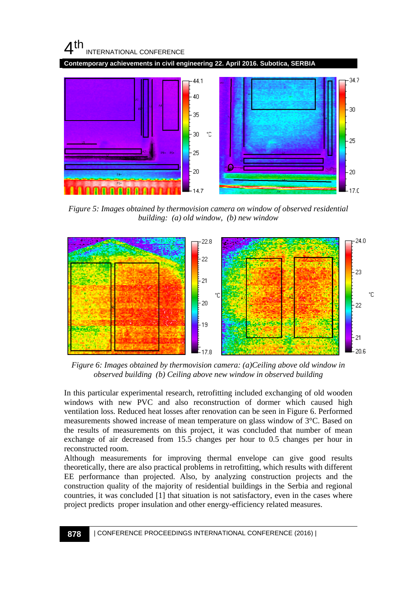

*Figure 5: Images obtained by thermovision camera on window of observed residential building: (a) old window, (b) new window*



*Figure 6: Images obtained by thermovision camera: (a)Ceiling above old window in observed building (b) Ceiling above new window in observed building*

In this particular experimental research, retrofitting included exchanging of old wooden windows with new PVC and also reconstruction of dormer which caused high ventilation loss. Reduced heat losses after renovation can be seen in Figure 6. Performed measurements showed increase of mean temperature on glass window of 3°C. Based on the results of measurements on this project, it was concluded that number of mean exchange of air decreased from 15.5 changes per hour to 0.5 changes per hour in reconstructed room.

Although measurements for improving thermal envelope can give good results theoretically, there are also practical problems in retrofitting, which results with different EE performance than projected. Also, by analyzing construction projects and the construction quality of the majority of residential buildings in the Serbia and regional countries, it was concluded [1] that situation is not satisfactory, even in the cases where project predicts proper insulation and other energy-efficiency related measures.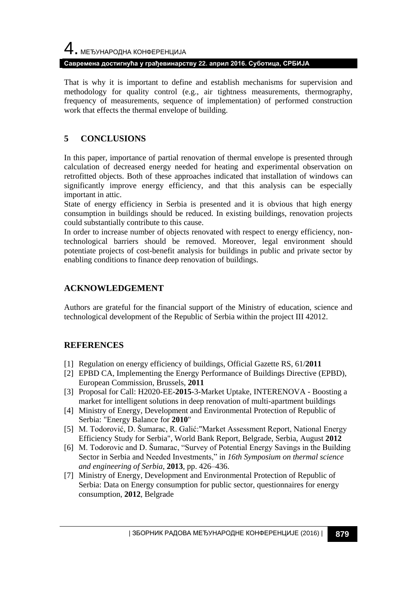# 4. МЕЂУНАРОДНА КОНФЕРЕНЦИЈА **Савремена достигнућа у грађевинарству 22. април 2016. Суботица, СРБИЈА**

That is why it is important to define and establish mechanisms for supervision and methodology for quality control (e.g., air tightness measurements, thermography, frequency of measurements, sequence of implementation) of performed construction work that effects the thermal envelope of building.

## **5 CONCLUSIONS**

In this paper, importance of partial renovation of thermal envelope is presented through calculation of decreased energy needed for heating and experimental observation on retrofitted objects. Both of these approaches indicated that installation of windows can significantly improve energy efficiency, and that this analysis can be especially important in attic.

State of energy efficiency in Serbia is presented and it is obvious that high energy consumption in buildings should be reduced. In existing buildings, renovation projects could substantially contribute to this cause.

In order to increase number of objects renovated with respect to energy efficiency, nontechnological barriers should be removed. Moreover, legal environment should potentiate projects of cost-benefit analysis for buildings in public and private sector by enabling conditions to finance deep renovation of buildings.

## **ACKNOWLEDGEMENT**

Authors are grateful for the financial support of the Ministry of education, science and technological development of the Republic of Serbia within the project III 42012.

## **REFERENCES**

- [1] Regulation on energy efficiency of buildings, Official Gazette RS, 61/**2011**
- [2] EPBD CA, Implementing the Energy Performance of Buildings Directive (EPBD), European Commission, Brussels, **2011**
- [3] Proposal for Call: H2020-EE-**2015**-3-Market Uptake, INTERENOVA Boosting a market for intelligent solutions in deep renovation of multi-apartment buildings
- [4] Ministry of Energy, Development and Environmental Protection of Republic of Serbia: "Energy Balance for **2010**"
- [5] M. Todorović, D. Šumarac, R. Galić:"Market Assessment Report, National Energy Efficiency Study for Serbia", World Bank Report, Belgrade, Serbia, August **2012**
- [6] M. Todorovic and D. Šumarac, "Survey of Potential Energy Savings in the Building Sector in Serbia and Needed Investments," in *16th Symposium on thermal science and engineering of Serbia*, **2013**, pp. 426–436.
- [7] Ministry of Energy, Development and Environmental Protection of Republic of Serbia: Data on Energy consumption for public sector, questionnaires for energy consumption, **2012**, Belgrade